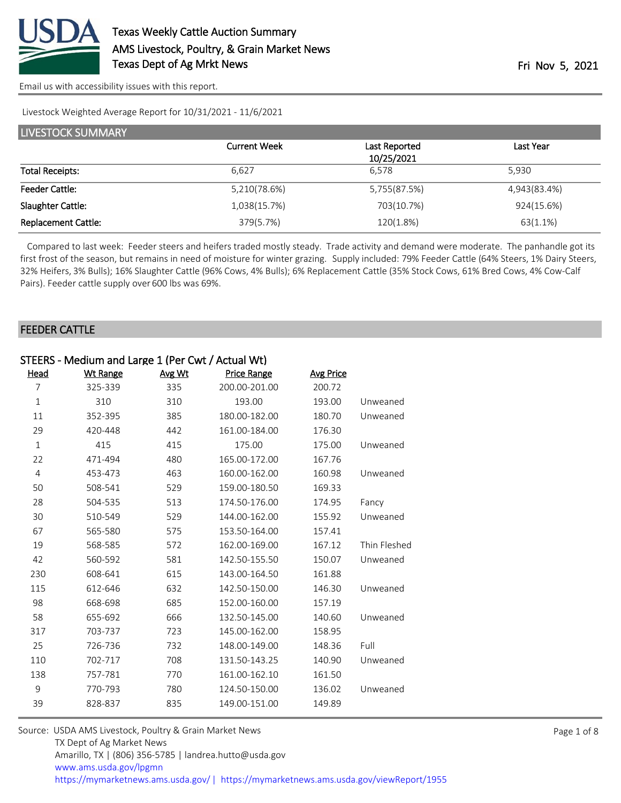

#### Livestock Weighted Average Report for 10/31/2021 - 11/6/2021

| LIVESTOCK SUMMARY          |                     |               |              |  |  |
|----------------------------|---------------------|---------------|--------------|--|--|
|                            | <b>Current Week</b> | Last Reported | Last Year    |  |  |
|                            |                     | 10/25/2021    |              |  |  |
| <b>Total Receipts:</b>     | 6.627               | 6.578         | 5.930        |  |  |
| <b>Feeder Cattle:</b>      | 5,210(78.6%)        | 5,755(87.5%)  | 4,943(83.4%) |  |  |
| Slaughter Cattle:          | 1,038(15.7%)        | 703(10.7%)    | 924(15.6%)   |  |  |
| <b>Replacement Cattle:</b> | 379(5.7%)           | 120(1.8%)     | 63(1.1%)     |  |  |

 Compared to last week: Feeder steers and heifers traded mostly steady. Trade activity and demand were moderate. The panhandle got its first frost of the season, but remains in need of moisture for winter grazing. Supply included: 79% Feeder Cattle (64% Steers, 1% Dairy Steers, 32% Heifers, 3% Bulls); 16% Slaughter Cattle (96% Cows, 4% Bulls); 6% Replacement Cattle (35% Stock Cows, 61% Bred Cows, 4% Cow-Calf Pairs). Feeder cattle supply over 600 lbs was 69%.

#### FEEDER CATTLE

| STEERS - Medium and Large 1 (Per Cwt / Actual Wt) |                 |        |                    |                  |              |
|---------------------------------------------------|-----------------|--------|--------------------|------------------|--------------|
| Head                                              | <b>Wt Range</b> | Avg Wt | <b>Price Range</b> | <b>Avg Price</b> |              |
| 7                                                 | 325-339         | 335    | 200.00-201.00      | 200.72           |              |
| $\mathbf 1$                                       | 310             | 310    | 193.00             | 193.00           | Unweaned     |
| 11                                                | 352-395         | 385    | 180.00-182.00      | 180.70           | Unweaned     |
| 29                                                | 420-448         | 442    | 161.00-184.00      | 176.30           |              |
| $\mathbf{1}$                                      | 415             | 415    | 175.00             | 175.00           | Unweaned     |
| 22                                                | 471-494         | 480    | 165.00-172.00      | 167.76           |              |
| 4                                                 | 453-473         | 463    | 160.00-162.00      | 160.98           | Unweaned     |
| 50                                                | 508-541         | 529    | 159.00-180.50      | 169.33           |              |
| 28                                                | 504-535         | 513    | 174.50-176.00      | 174.95           | Fancy        |
| 30                                                | 510-549         | 529    | 144.00-162.00      | 155.92           | Unweaned     |
| 67                                                | 565-580         | 575    | 153.50-164.00      | 157.41           |              |
| 19                                                | 568-585         | 572    | 162.00-169.00      | 167.12           | Thin Fleshed |
| 42                                                | 560-592         | 581    | 142.50-155.50      | 150.07           | Unweaned     |
| 230                                               | 608-641         | 615    | 143.00-164.50      | 161.88           |              |
| 115                                               | 612-646         | 632    | 142.50-150.00      | 146.30           | Unweaned     |
| 98                                                | 668-698         | 685    | 152.00-160.00      | 157.19           |              |
| 58                                                | 655-692         | 666    | 132.50-145.00      | 140.60           | Unweaned     |
| 317                                               | 703-737         | 723    | 145.00-162.00      | 158.95           |              |
| 25                                                | 726-736         | 732    | 148.00-149.00      | 148.36           | Full         |
| 110                                               | 702-717         | 708    | 131.50-143.25      | 140.90           | Unweaned     |
| 138                                               | 757-781         | 770    | 161.00-162.10      | 161.50           |              |
| 9                                                 | 770-793         | 780    | 124.50-150.00      | 136.02           | Unweaned     |
| 39                                                | 828-837         | 835    | 149.00-151.00      | 149.89           |              |
|                                                   |                 |        |                    |                  |              |

| Source: USDA AMS Livestock, Poultry & Grain Market News                                |
|----------------------------------------------------------------------------------------|
| TX Dept of Ag Market News                                                              |
| Amarillo, TX   (806) 356-5785   landrea.hutto@usda.gov                                 |
| www.ams.usda.gov/lpgmn                                                                 |
| https://mymarketnews.ams.usda.gov/   https://mymarketnews.ams.usda.gov/viewReport/1955 |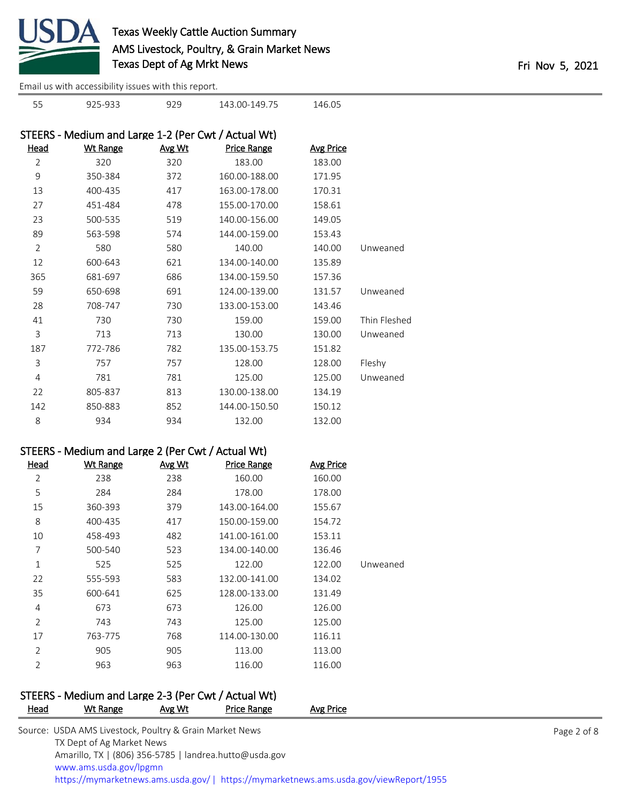

925-933 929 143.00-149.75 146.05

[Email us with accessibility issues with this report.](mailto:mars@ams.usda.gov?subject=508%20issue)

|                | STEERS - Medium and Large 1-2 (Per Cwt / Actual Wt) |        |                    |                  |              |
|----------------|-----------------------------------------------------|--------|--------------------|------------------|--------------|
| Head           | <b>Wt Range</b>                                     | Avg Wt | <b>Price Range</b> | <b>Avg Price</b> |              |
| $\overline{2}$ | 320                                                 | 320    | 183.00             | 183.00           |              |
| 9              | 350-384                                             | 372    | 160.00-188.00      | 171.95           |              |
| 13             | 400-435                                             | 417    | 163.00-178.00      | 170.31           |              |
| 27             | 451-484                                             | 478    | 155.00-170.00      | 158.61           |              |
| 23             | 500-535                                             | 519    | 140.00-156.00      | 149.05           |              |
| 89             | 563-598                                             | 574    | 144.00-159.00      | 153.43           |              |
| $\overline{2}$ | 580                                                 | 580    | 140.00             | 140.00           | Unweaned     |
| 12             | 600-643                                             | 621    | 134.00-140.00      | 135.89           |              |
| 365            | 681-697                                             | 686    | 134.00-159.50      | 157.36           |              |
| 59             | 650-698                                             | 691    | 124.00-139.00      | 131.57           | Unweaned     |
| 28             | 708-747                                             | 730    | 133.00-153.00      | 143.46           |              |
| 41             | 730                                                 | 730    | 159.00             | 159.00           | Thin Fleshed |
| 3              | 713                                                 | 713    | 130.00             | 130.00           | Unweaned     |
| 187            | 772-786                                             | 782    | 135.00-153.75      | 151.82           |              |
| 3              | 757                                                 | 757    | 128.00             | 128.00           | Fleshy       |
| $\overline{4}$ | 781                                                 | 781    | 125.00             | 125.00           | Unweaned     |
| 22             | 805-837                                             | 813    | 130.00-138.00      | 134.19           |              |
| 142            | 850-883                                             | 852    | 144.00-150.50      | 150.12           |              |
| 8              | 934                                                 | 934    | 132.00             | 132.00           |              |

## STEERS - Medium and Large 2 (Per Cwt / Actual Wt)

| <b>Head</b>    | <b>Wt Range</b> | Avg Wt | <b>Price Range</b> | <b>Avg Price</b> |          |
|----------------|-----------------|--------|--------------------|------------------|----------|
| 2              | 238             | 238    | 160.00             | 160.00           |          |
| 5              | 284             | 284    | 178.00             | 178.00           |          |
| 15             | 360-393         | 379    | 143.00-164.00      | 155.67           |          |
| 8              | 400-435         | 417    | 150.00-159.00      | 154.72           |          |
| 10             | 458-493         | 482    | 141.00-161.00      | 153.11           |          |
| 7              | 500-540         | 523    | 134.00-140.00      | 136.46           |          |
| 1              | 525             | 525    | 122.00             | 122.00           | Unweaned |
| 22             | 555-593         | 583    | 132.00-141.00      | 134.02           |          |
| 35             | 600-641         | 625    | 128.00-133.00      | 131.49           |          |
| 4              | 673             | 673    | 126.00             | 126.00           |          |
| $\overline{2}$ | 743             | 743    | 125.00             | 125.00           |          |
| 17             | 763-775         | 768    | 114.00-130.00      | 116.11           |          |
| 2              | 905             | 905    | 113.00             | 113.00           |          |
| 2              | 963             | 963    | 116.00             | 116.00           |          |

# STEERS - Medium and Large 2-3 (Per Cwt / Actual Wt)

| Head | Wt Range                                                | Avg Wt | Price Range | Avg Price                                                                              |  |
|------|---------------------------------------------------------|--------|-------------|----------------------------------------------------------------------------------------|--|
|      | Source: USDA AMS Livestock, Poultry & Grain Market News |        |             |                                                                                        |  |
|      | TX Dept of Ag Market News                               |        |             |                                                                                        |  |
|      | Amarillo, TX   (806) 356-5785   landrea.hutto@usda.gov  |        |             |                                                                                        |  |
|      | www.ams.usda.gov/lpgmn                                  |        |             |                                                                                        |  |
|      |                                                         |        |             | https://mymarketnews.ams.usda.gov/   https://mymarketnews.ams.usda.gov/viewReport/1955 |  |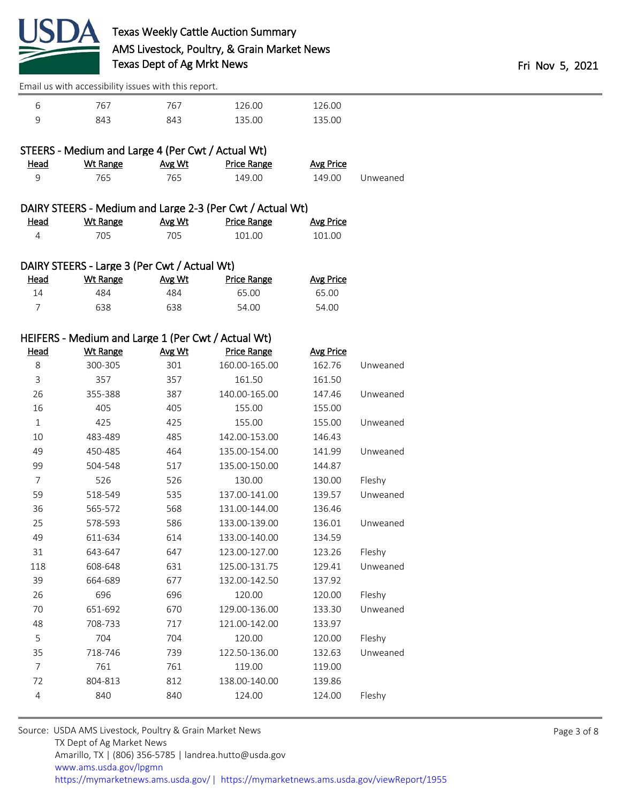

|   | 767 | 767 | 126.00 | 126.00 |
|---|-----|-----|--------|--------|
| Ч | 843 | 843 | 135.00 | 135.00 |

|             | STEERS - Medium and Large 4 (Per Cwt / Actual Wt) |        |             |           |          |
|-------------|---------------------------------------------------|--------|-------------|-----------|----------|
| <u>Head</u> | Wt Range                                          | Avg Wt | Price Range | Avg Price |          |
| Q           | 765.                                              | 765.   | 149.00      | 149.00    | Unweaned |

| <u>Head</u> | Wt Range | Avg Wt | Price Range | <u>Avg Price</u> |
|-------------|----------|--------|-------------|------------------|
|             | 705      | 705    | 101.00      | 101.00           |

## DAIRY STEERS - Large 3 (Per Cwt / Actual Wt)

| <u>Head</u> | <u>Wt Range</u> | Avg Wt | Price Range | Avg Price |
|-------------|-----------------|--------|-------------|-----------|
| 14          | 484             | 484    | 65.00       | 65.00     |
|             | 638             | 638    | 54.00       | 54.00     |

## HEIFERS - Medium and Large 1 (Per Cwt / Actual Wt)

| <b>Head</b>    | <b>Wt Range</b> | Avg Wt | <b>Price Range</b> | <b>Avg Price</b> |          |
|----------------|-----------------|--------|--------------------|------------------|----------|
| 8              | 300-305         | 301    | 160.00-165.00      | 162.76           | Unweaned |
| 3              | 357             | 357    | 161.50             | 161.50           |          |
| 26             | 355-388         | 387    | 140.00-165.00      | 147.46           | Unweaned |
| 16             | 405             | 405    | 155.00             | 155.00           |          |
| $1\,$          | 425             | 425    | 155.00             | 155.00           | Unweaned |
| 10             | 483-489         | 485    | 142.00-153.00      | 146.43           |          |
| 49             | 450-485         | 464    | 135.00-154.00      | 141.99           | Unweaned |
| 99             | 504-548         | 517    | 135.00-150.00      | 144.87           |          |
| $\overline{7}$ | 526             | 526    | 130.00             | 130.00           | Fleshy   |
| 59             | 518-549         | 535    | 137.00-141.00      | 139.57           | Unweaned |
| 36             | 565-572         | 568    | 131.00-144.00      | 136.46           |          |
| 25             | 578-593         | 586    | 133.00-139.00      | 136.01           | Unweaned |
| 49             | 611-634         | 614    | 133.00-140.00      | 134.59           |          |
| 31             | 643-647         | 647    | 123.00-127.00      | 123.26           | Fleshy   |
| 118            | 608-648         | 631    | 125.00-131.75      | 129.41           | Unweaned |
| 39             | 664-689         | 677    | 132.00-142.50      | 137.92           |          |
| 26             | 696             | 696    | 120.00             | 120.00           | Fleshy   |
| 70             | 651-692         | 670    | 129.00-136.00      | 133.30           | Unweaned |
| 48             | 708-733         | 717    | 121.00-142.00      | 133.97           |          |
| 5              | 704             | 704    | 120.00             | 120.00           | Fleshy   |
| 35             | 718-746         | 739    | 122.50-136.00      | 132.63           | Unweaned |
| 7              | 761             | 761    | 119.00             | 119.00           |          |
| 72             | 804-813         | 812    | 138.00-140.00      | 139.86           |          |
| $\overline{4}$ | 840             | 840    | 124.00             | 124.00           | Fleshy   |
|                |                 |        |                    |                  |          |

| Source: USDA AMS Livestock, Poultry & Grain Market News                                |
|----------------------------------------------------------------------------------------|
| TX Dept of Ag Market News                                                              |
| Amarillo, TX   (806) 356-5785   landrea.hutto@usda.gov                                 |
| www.ams.usda.gov/lpgmn                                                                 |
| https://mymarketnews.ams.usda.gov/   https://mymarketnews.ams.usda.gov/viewReport/1955 |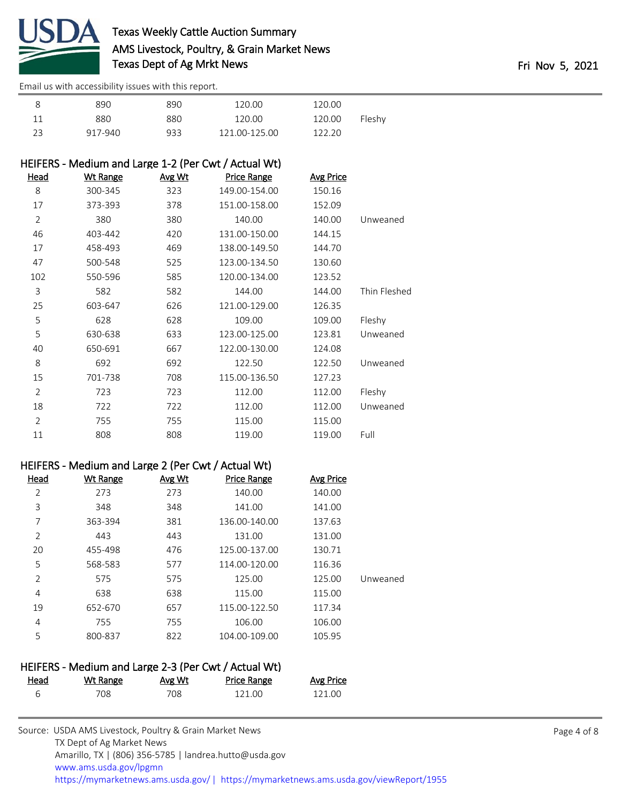

|        | 120.00 | 120.00        | 890 | 890     |    |
|--------|--------|---------------|-----|---------|----|
| Fleshy | 120.00 | 120.00        | 880 | 880     | 11 |
|        | 122.20 | 121.00-125.00 | 933 | 917-940 | 23 |

## HEIFERS - Medium and Large 1-2 (Per Cwt / Actual Wt)

| Head           | <b>Wt Range</b> | Avg Wt | <b>Price Range</b> | <b>Avg Price</b> |              |
|----------------|-----------------|--------|--------------------|------------------|--------------|
| 8              | 300-345         | 323    | 149.00-154.00      | 150.16           |              |
| 17             | 373-393         | 378    | 151.00-158.00      | 152.09           |              |
| $\overline{2}$ | 380             | 380    | 140.00             | 140.00           | Unweaned     |
| 46             | 403-442         | 420    | 131.00-150.00      | 144.15           |              |
| 17             | 458-493         | 469    | 138.00-149.50      | 144.70           |              |
| 47             | 500-548         | 525    | 123.00-134.50      | 130.60           |              |
| 102            | 550-596         | 585    | 120.00-134.00      | 123.52           |              |
| 3              | 582             | 582    | 144.00             | 144.00           | Thin Fleshed |
| 25             | 603-647         | 626    | 121.00-129.00      | 126.35           |              |
| 5              | 628             | 628    | 109.00             | 109.00           | Fleshy       |
| 5              | 630-638         | 633    | 123.00-125.00      | 123.81           | Unweaned     |
| 40             | 650-691         | 667    | 122.00-130.00      | 124.08           |              |
| 8              | 692             | 692    | 122.50             | 122.50           | Unweaned     |
| 15             | 701-738         | 708    | 115.00-136.50      | 127.23           |              |
| $\overline{2}$ | 723             | 723    | 112.00             | 112.00           | Fleshy       |
| 18             | 722             | 722    | 112.00             | 112.00           | Unweaned     |
| 2              | 755             | 755    | 115.00             | 115.00           |              |
| 11             | 808             | 808    | 119.00             | 119.00           | Full         |

#### HEIFERS - Medium and Large 2 (Per Cwt / Actual Wt)

| Head           | Wt Range | Avg Wt | <b>Price Range</b> | <b>Avg Price</b> |          |
|----------------|----------|--------|--------------------|------------------|----------|
| 2              | 273      | 273    | 140.00             | 140.00           |          |
| 3              | 348      | 348    | 141.00             | 141.00           |          |
| 7              | 363-394  | 381    | 136.00-140.00      | 137.63           |          |
| 2              | 443      | 443    | 131.00             | 131.00           |          |
| 20             | 455-498  | 476    | 125.00-137.00      | 130.71           |          |
| 5              | 568-583  | 577    | 114.00-120.00      | 116.36           |          |
| $\overline{2}$ | 575      | 575    | 125.00             | 125.00           | Unweaned |
| 4              | 638      | 638    | 115.00             | 115.00           |          |
| 19             | 652-670  | 657    | 115.00-122.50      | 117.34           |          |
| 4              | 755      | 755    | 106.00             | 106.00           |          |
| 5              | 800-837  | 822    | 104.00-109.00      | 105.95           |          |

## HEIFERS - Medium and Large 2-3 (Per Cwt / Actual Wt)

| <u>Head</u> | <u>Wt Range</u> | <b>Avg Wt</b> | Price Range | <b>Avg Price</b> |
|-------------|-----------------|---------------|-------------|------------------|
|             | 708             | 708           | 121.00      | 121.00           |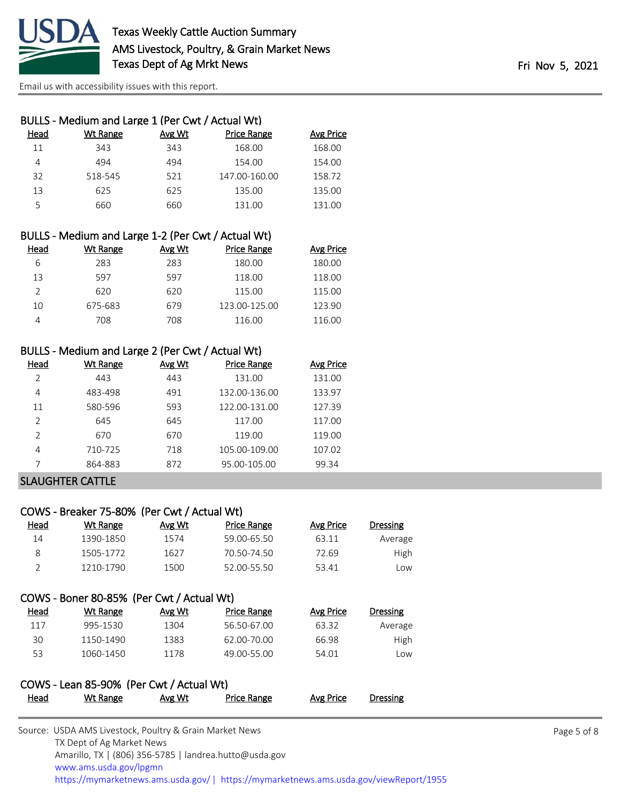

| BULLS - Medium and Large 1 (Per Cwt / Actual Wt) |          |        |                    |                  |  |  |
|--------------------------------------------------|----------|--------|--------------------|------------------|--|--|
| Head                                             | Wt Range | Avg Wt | <b>Price Range</b> | <b>Avg Price</b> |  |  |
| 11                                               | 343      | 343    | 168.00             | 168.00           |  |  |
| 4                                                | 494      | 494    | 154.00             | 154.00           |  |  |
| 32                                               | 518-545  | 521    | 147.00-160.00      | 158.72           |  |  |
| 13                                               | 625      | 625    | 135.00             | 135.00           |  |  |
| 5                                                | 660      | 660    | 131.00             | 131.00           |  |  |
|                                                  |          |        |                    |                  |  |  |

|          |            |                                 | BULLS - Medium and Large 1-2 (Per Cwt / Actual Wt) |  |
|----------|------------|---------------------------------|----------------------------------------------------|--|
| المممليا | $MH$ Dongo | $\Lambda$ $\mu$ $\Lambda$ $\mu$ | <b>Drico Pongo</b>                                 |  |

| Head | Wt Range | Avg Wt | <b>Price Range</b> | Avg Price |
|------|----------|--------|--------------------|-----------|
| 6    | 283      | 283    | 180.00             | 180.00    |
| 13   | 597      | 597    | 118.00             | 118.00    |
|      | 620      | 620    | 115.00             | 115.00    |
| 10   | 675-683  | 679    | 123.00-125.00      | 123.90    |
| Δ    | 708      | 708    | 116.00             | 116.00    |

## BULLS - Medium and Large 2 (Per Cwt / Actual Wt)

| Head          | Wt Range | Avg Wt | <b>Price Range</b> | Avg Price |
|---------------|----------|--------|--------------------|-----------|
| C             | 443      | 443    | 131.00             | 131.00    |
| 4             | 483-498  | 491    | 132.00-136.00      | 133.97    |
| 11            | 580-596  | 593    | 122.00-131.00      | 127.39    |
| $\mathcal{P}$ | 645      | 645    | 117.00             | 117.00    |
| $\mathcal{P}$ | 670      | 670    | 119.00             | 119.00    |
| 4             | 710-725  | 718    | 105.00-109.00      | 107.02    |
|               | 864-883  | 872    | 95.00-105.00       | 99.34     |

#### SLAUGHTER CATTLE

## COWS - Breaker 75-80% (Per Cwt / Actual Wt)

| <u>Head</u> | Wt Range  | Avg Wt | Price Range | Avg Price | Dressing |
|-------------|-----------|--------|-------------|-----------|----------|
| 14          | 1390-1850 | 1574   | 59.00-65.50 | 63.11     | Average  |
|             | 1505-1772 | 1627   | 70.50-74.50 | 72.69     | High     |
|             | 1210-1790 | 1500   | 52.00-55.50 | 53.41     | Low      |

## COWS - Boner 80-85% (Per Cwt / Actual Wt)

| Head | Wt Range  | Avg Wt | Price Range | Avg Price | Dressing    |
|------|-----------|--------|-------------|-----------|-------------|
| 117  | 995-1530  | 1304   | 56.50-67.00 | 63.32     | Average     |
| 30   | 1150-1490 | 1383   | 62.00-70.00 | 66.98     | <b>High</b> |
| 53   | 1060-1450 | 1178   | 49.00-55.00 | 54.01     | l ow        |

## COWS - Lean 85-90% (Per Cwt / Actual Wt) Head Wt Range Avg Wt Price Range Avg Price Dressing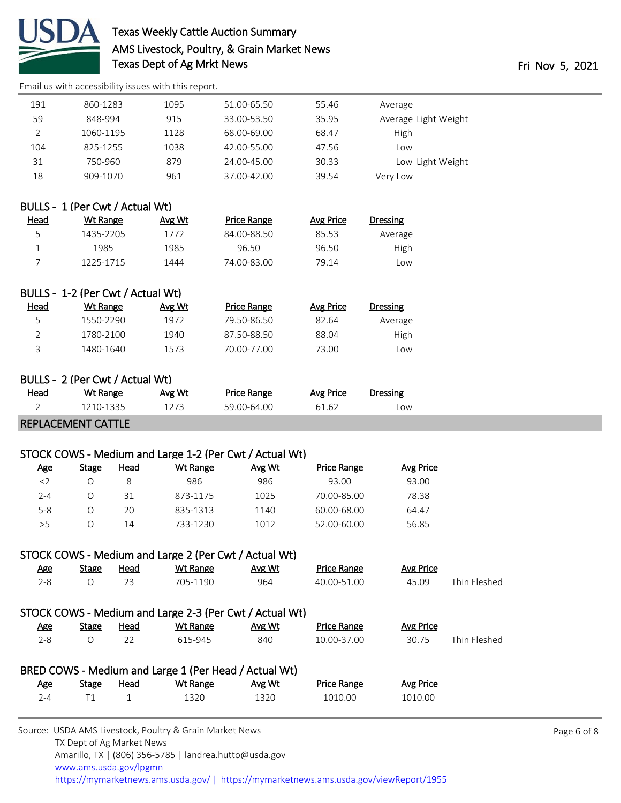

## Texas Weekly Cattle Auction Summary AMS Livestock, Poultry, & Grain Market News Texas Dept of Ag Mrkt News Fri Nov 5, 2021

[Email us with accessibility issues with this report.](mailto:mars@ams.usda.gov?subject=508%20issue)

| 191 | 860-1283  | 1095 | 51.00-65.50 | 55.46 | Average              |
|-----|-----------|------|-------------|-------|----------------------|
| 59  | 848-994   | 915  | 33.00-53.50 | 35.95 | Average Light Weight |
|     | 1060-1195 | 1128 | 68.00-69.00 | 68.47 | High                 |
| 104 | 825-1255  | 1038 | 42.00-55.00 | 47.56 | Low                  |
| 31  | 750-960   | 879  | 24.00-45.00 | 30.33 | Low Light Weight     |
| 18  | 909-1070  | 961  | 37.00-42.00 | 39.54 | Very Low             |
|     |           |      |             |       |                      |

## BULLS - 1 (Per Cwt / Actual Wt)

| <b>Head</b> | Wt Range  | Avg Wt | <b>Price Range</b> | Avg Price | Dressing |
|-------------|-----------|--------|--------------------|-----------|----------|
| ς           | 1435-2205 | 1772   | 84.00-88.50        | 85.53     | Average  |
|             | 1985      | 1985   | 96.50              | 96.50     | High     |
|             | 1225-1715 | 1444   | 74.00-83.00        | 79.14     | LOW.     |

## BULLS - 1-2 (Per Cwt / Actual Wt)

| Head | Wt Range  | Avg Wt | Price Range | Avg Price | Dressing |
|------|-----------|--------|-------------|-----------|----------|
| ∽    | 1550-2290 | 1972   | 79.50-86.50 | 82.64     | Average  |
|      | 1780-2100 | 1940   | 87.50-88.50 | 88.04     | High     |
|      | 1480-1640 | 1573   | 70.00-77.00 | 73.00     | LOW      |

## BULLS - 2 (Per Cwt / Actual Wt)

| <u>Head</u> | Wt Range  | Avg Wt | Price Range | Avg Price | Dressing |
|-------------|-----------|--------|-------------|-----------|----------|
|             | 1210-1335 | 1273.  | 59.00-64.00 | 61.62     | .ow      |

#### REPLACEMENT CATTLE

## STOCK COWS - Medium and Large 1-2 (Per Cwt / Actual Wt)

| <u>Age</u> | Stage | Head | Wt Range | Avg Wt | <b>Price Range</b> | Avg Price |  |
|------------|-------|------|----------|--------|--------------------|-----------|--|
| $<$ 2      |       |      | 986      | 986    | 93.00              | 93.00     |  |
| $2 - 4$    |       | 31   | 873-1175 | 1025   | 70.00-85.00        | 78.38     |  |
| $5 - 8$    |       | 20   | 835-1313 | 1140   | 60.00-68.00        | 64.47     |  |
| >5         |       | 14   | 733-1230 | 1012   | 52.00-60.00        | 56.85     |  |

## STOCK COWS - Medium and Large 2 (Per Cwt / Actual Wt)

| <u>Age</u> | Stage | Head | Wt Range | Avg Wt | <b>Price Range</b> | Avg Price |              |
|------------|-------|------|----------|--------|--------------------|-----------|--------------|
| 2-8        |       |      | 705-1190 | 964    | 40.00-51.00        | 45.09     | Thin Fleshed |

# STOCK COWS - Medium and Large 2-3 (Per Cwt / Actual Wt)

| <u>Age</u> | <b>Stage</b> | <b>Head</b> | Wt Range | Avg Wt | <b>Price Range</b> | Avg Price |              |
|------------|--------------|-------------|----------|--------|--------------------|-----------|--------------|
| 2-8        |              |             | 615-945  | 840    | 10.00-37.00        | 30.75     | Thin Fleshed |
|            |              |             |          |        |                    |           |              |

| BRED COWS - Medium and Large 1 (Per Head / Actual Wt) |       |      |          |        |             |           |  |  |
|-------------------------------------------------------|-------|------|----------|--------|-------------|-----------|--|--|
| Age                                                   | Stage | Head | Wt Range | Avg Wt | Price Range | Avg Price |  |  |
| 7-4                                                   |       |      | 1320     | 1320   | 1010.00     | 1010.00   |  |  |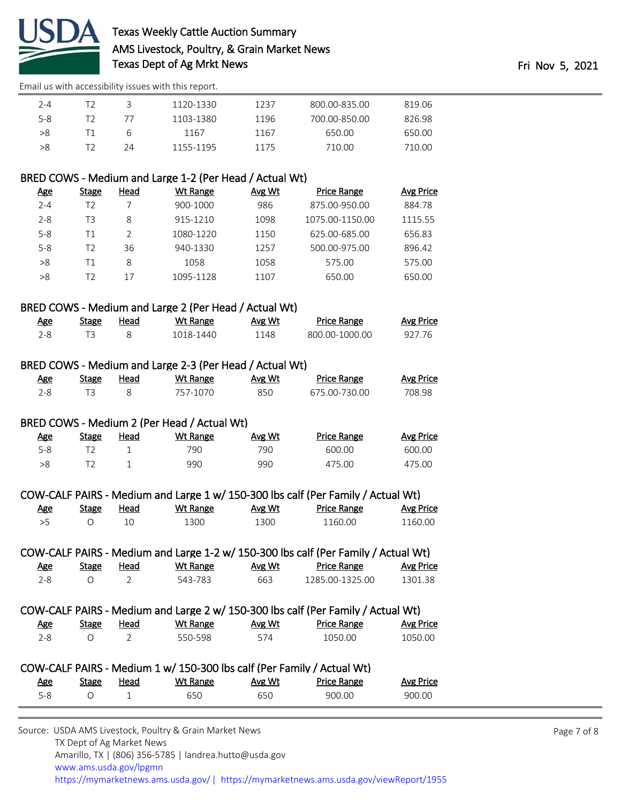

| $2 - 4$ |    | 1120-1330 | 1237 | 800.00-835.00 | 819.06 |
|---------|----|-----------|------|---------------|--------|
| $5 - 8$ |    | 1103-1380 | 1196 | 700.00-850.00 | 826.98 |
| >8      | h  | 1167      | 1167 | 650.00        | 650.00 |
| >8      | 24 | 1155-1195 | 1175 | 710.00        | 710.00 |

## BRED COWS - Medium and Large 1-2 (Per Head / Actual Wt)

| <u>Age</u> | Stage | Head | Wt Range  | Avg Wt | <b>Price Range</b> | <b>Avg Price</b> |
|------------|-------|------|-----------|--------|--------------------|------------------|
| $2 - 4$    | T2    |      | 900-1000  | 986    | 875.00-950.00      | 884.78           |
| $2 - 8$    | T3    | 8    | 915-1210  | 1098   | 1075.00-1150.00    | 1115.55          |
| $5 - 8$    | Τ1    |      | 1080-1220 | 1150   | 625.00-685.00      | 656.83           |
| $5 - 8$    | T2    | 36   | 940-1330  | 1257   | 500.00-975.00      | 896.42           |
| >8         | Τ1    | 8    | 1058      | 1058   | 575.00             | 575.00           |
| >8         | T2    | 17   | 1095-1128 | 1107   | 650.00             | 650.00           |
|            |       |      |           |        |                    |                  |

## BRED COWS - Medium and Large 2 (Per Head / Actual Wt)

| <u>Age</u> | <b>Stage</b> | Head | Wt Range  | Avg Wt | Price Range    | <b>Avg Price</b> |
|------------|--------------|------|-----------|--------|----------------|------------------|
|            |              |      | 1018-1440 | 1148   | 800.00-1000.00 | 927 76           |

#### BRED COWS - Medium and Large 2-3 (Per Head / Actual Wt)

| Age | Stage | Head | Wt Range | Avg Wt | <b>Price Range</b> | <b>Avg Price</b> |
|-----|-------|------|----------|--------|--------------------|------------------|
|     |       |      | 757-1070 | 850    | .675.00-730.00     | 708.98           |

#### BRED COWS - Medium 2 (Per Head / Actual Wt)

| <u>Age</u> | Stage | <u>Head</u> | Wt Range | Avg Wt | <b>Price Range</b> | <b>Avg Price</b> |
|------------|-------|-------------|----------|--------|--------------------|------------------|
| $5 - 8$    |       |             | 790      | 790    | 600.00             | 600.00           |
| >8         |       |             | 990      | 990    | 475.00             | 475.00           |

#### COW-CALF PAIRS - Medium and Large 1 w/ 150-300 lbs calf (Per Family / Actual Wt)

| <u>Age</u> | Stage | Head | Wt Range | Avg Wt | <b>Price Range</b> | <u>Avg Price</u> |
|------------|-------|------|----------|--------|--------------------|------------------|
|            |       |      | 300      | 1300   | 1160.00            | 1160.00          |

| COW-CALF PAIRS - Medium and Large 1-2 w/ 150-300 lbs calf (Per Family / Actual Wt) |       |      |          |        |                    |           |  |
|------------------------------------------------------------------------------------|-------|------|----------|--------|--------------------|-----------|--|
| Age                                                                                | Stage | Head | Wt Range | Avg Wt | <b>Price Range</b> | Avg Price |  |
| 2-8.                                                                               |       |      | 543-783  | 663    | 1285.00-1325.00    | 1301.38   |  |

## COW-CALF PAIRS - Medium and Large 2 w/ 150-300 lbs calf (Per Family / Actual Wt)

| <b>Age</b> | Stage | Head | Wt Range | Avg Wt | <b>Price Range</b> | <b>Avg Price</b> |
|------------|-------|------|----------|--------|--------------------|------------------|
| $2 - 8$    |       |      | 550-598  | 574    | 1050.00            | 1050.00          |

| COW-CALF PAIRS - Medium 1 w/ 150-300 lbs calf (Per Family / Actual Wt) |       |      |          |        |             |           |
|------------------------------------------------------------------------|-------|------|----------|--------|-------------|-----------|
| Age                                                                    | Stage | Head | Wt Range | Avg Wt | Price Range | Avg Price |
| 5-8                                                                    |       |      | 650.     | 650    | 900.00      | 900.00    |